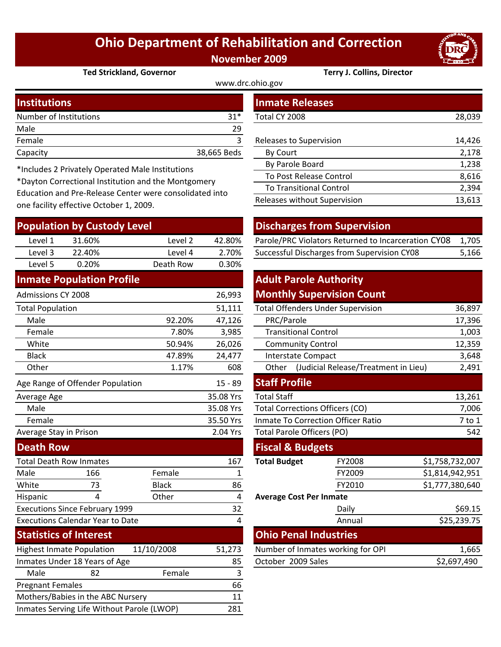## **Ohio Department of Rehabilitation and Correction November 2009**

www.drc.ohio.gov



**Ted Strickland, Governor Terry J. Collins, Director**

| <b>Institutions</b>    |             | <b>Inmate Releases</b>  |        |  |
|------------------------|-------------|-------------------------|--------|--|
| Number of Institutions | $31*$       | Total CY 2008           | 28,039 |  |
| Male                   | 29          |                         |        |  |
| Female                 |             | Releases to Supervision | 14,426 |  |
| Capacity               | 38,665 Beds | By Court                | 2,178  |  |
|                        |             | _ _ _ _                 |        |  |

\*Includes 2 Privately Operated Male Institutions

\*Dayton Correctional Institution and the Montgomery Education and Pre‐Release Center were consolidated into one facility effective October 1, 2009.

|                                                | <b>Population by Custody Level</b>      |              |                                   |                             | <b>Discharges from Supervision</b>                  |                 |             |
|------------------------------------------------|-----------------------------------------|--------------|-----------------------------------|-----------------------------|-----------------------------------------------------|-----------------|-------------|
| Level 1                                        | 31.60%                                  | Level 2      | 42.80%                            |                             | Parole/PRC Violators Returned to Incarceration CY08 |                 | 1,705       |
| Level 3                                        | 22.40%                                  | Level 4      | 2.70%                             |                             | Successful Discharges from Supervision CY08         |                 | 5,166       |
| Level 5                                        | 0.20%                                   | Death Row    | 0.30%                             |                             |                                                     |                 |             |
|                                                | <b>Inmate Population Profile</b>        |              |                                   |                             | <b>Adult Parole Authority</b>                       |                 |             |
| <b>Admissions CY 2008</b>                      |                                         |              | 26,993                            |                             | <b>Monthly Supervision Count</b>                    |                 |             |
| <b>Total Population</b>                        |                                         |              | 51,111                            |                             | <b>Total Offenders Under Supervision</b>            |                 | 36,897      |
| Male                                           |                                         | 92.20%       | 47,126                            | PRC/Parole                  |                                                     |                 | 17,396      |
| Female                                         |                                         | 7.80%        | 3,985                             |                             | <b>Transitional Control</b>                         |                 | 1,003       |
| White                                          |                                         | 50.94%       | 26,026                            |                             | <b>Community Control</b>                            |                 | 12,359      |
| <b>Black</b>                                   |                                         | 47.89%       | 24,477                            |                             | <b>Interstate Compact</b>                           |                 | 3,648       |
| Other                                          |                                         | 1.17%        | 608                               | Other                       | (Judicial Release/Treatment in Lieu)                |                 | 2,491       |
|                                                | Age Range of Offender Population        |              | $15 - 89$                         | <b>Staff Profile</b>        |                                                     |                 |             |
| Average Age                                    |                                         |              | 35.08 Yrs                         | <b>Total Staff</b>          |                                                     |                 | 13,261      |
| Male                                           |                                         |              | 35.08 Yrs                         |                             | <b>Total Corrections Officers (CO)</b>              |                 | 7,006       |
| Female                                         |                                         |              | 35.50 Yrs                         |                             | <b>Inmate To Correction Officer Ratio</b>           |                 | 7 to 1      |
| Average Stay in Prison                         |                                         |              | 2.04 Yrs                          |                             | <b>Total Parole Officers (PO)</b>                   |                 | 542         |
| <b>Death Row</b>                               |                                         |              |                                   | <b>Fiscal &amp; Budgets</b> |                                                     |                 |             |
|                                                | <b>Total Death Row Inmates</b>          |              | 167                               | <b>Total Budget</b>         | FY2008                                              | \$1,758,732,007 |             |
| Male                                           | 166                                     | Female       | 1                                 |                             | FY2009                                              | \$1,814,942,951 |             |
| White                                          | 73                                      | <b>Black</b> | 86                                |                             | FY2010                                              | \$1,777,380,640 |             |
| Hispanic                                       | 4                                       | Other        | 4                                 |                             | <b>Average Cost Per Inmate</b>                      |                 |             |
|                                                | <b>Executions Since February 1999</b>   |              | 32                                |                             | Daily                                               |                 | \$69.15     |
|                                                | <b>Executions Calendar Year to Date</b> |              | 4                                 |                             | Annual                                              |                 | \$25,239.75 |
|                                                | <b>Statistics of Interest</b>           |              |                                   |                             | <b>Ohio Penal Industries</b>                        |                 |             |
| 11/10/2008<br><b>Highest Inmate Population</b> |                                         | 51,273       | Number of Inmates working for OPI |                             |                                                     | 1,665           |             |
|                                                | Inmates Under 18 Years of Age           |              | 85                                | October 2009 Sales          |                                                     |                 | \$2,697,490 |
| Male                                           | 82                                      | Female       | 3                                 |                             |                                                     |                 |             |
| <b>Pregnant Females</b>                        |                                         |              | 66                                |                             |                                                     |                 |             |
|                                                | Mothers/Babies in the ABC Nursery       |              | 11                                |                             |                                                     |                 |             |

Inmates Serving Life Without Parole (LWOP) 281

| <b>Inmate Releases</b>         |        |
|--------------------------------|--------|
| Total CY 2008                  | 28,039 |
|                                |        |
| Releases to Supervision        | 14,426 |
| By Court                       | 2,178  |
| By Parole Board                | 1,238  |
| To Post Release Control        | 8,616  |
| <b>To Transitional Control</b> | 2,394  |
| Releases without Supervision   | 13,613 |
|                                |        |

## **Discharges from Supervision**

| 2.70%<br>22.40%<br>Level 3<br>Level 4 | Level 1 | 31.60% | Level 2 | 42.80% | Parole/PRC Violators Returned to Incarceration CY08 1,705 |       |
|---------------------------------------|---------|--------|---------|--------|-----------------------------------------------------------|-------|
|                                       |         |        |         |        | Successful Discharges from Supervision CY08               | 5,166 |

## **Adult Parole Authority Monthly Supervision Count**

|        | 51,111         |                                           | <b>Total Offenders Under Supervision</b>      | 36,897          |  |
|--------|----------------|-------------------------------------------|-----------------------------------------------|-----------------|--|
| 92.20% | 47,126         | PRC/Parole                                | 17,396                                        |                 |  |
| 7.80%  | 3,985          | <b>Transitional Control</b>               | 1,003                                         |                 |  |
| 50.94% | 26,026         |                                           | <b>Community Control</b>                      | 12,359          |  |
| 47.89% | 24,477         |                                           | <b>Interstate Compact</b>                     | 3,648           |  |
| 1.17%  | 608            | Other                                     | (Judicial Release/Treatment in Lieu)<br>2,491 |                 |  |
|        | $15 - 89$      | <b>Staff Profile</b>                      |                                               |                 |  |
|        | 35.08 Yrs      | <b>Total Staff</b>                        |                                               | 13,261          |  |
|        | 35.08 Yrs      |                                           | <b>Total Corrections Officers (CO)</b>        | 7,006           |  |
|        | 35.50 Yrs      | <b>Inmate To Correction Officer Ratio</b> | $7$ to $1$                                    |                 |  |
|        | 2.04 Yrs       | Total Parole Officers (PO)                | 542                                           |                 |  |
|        |                | <b>Fiscal &amp; Budgets</b>               |                                               |                 |  |
|        | 167            | <b>Total Budget</b>                       | FY2008                                        | \$1,758,732,007 |  |
| alle   | 1              |                                           | FY2009                                        | \$1,814,942,951 |  |
| :k     | 86             |                                           | FY2010                                        | \$1,777,380,640 |  |
| er     | 4              | <b>Average Cost Per Inmate</b>            |                                               |                 |  |
|        | 32             |                                           | Daily                                         | \$69.15         |  |
|        | $\overline{a}$ |                                           | Annual                                        | \$25,239.75     |  |
|        |                |                                           | <b>Ohio Penal Industries</b>                  |                 |  |
| 08     | 51,273         | Number of Inmates working for OPI         | 1,665                                         |                 |  |
|        | 85             | October 2009 Sales                        | \$2,697,490                                   |                 |  |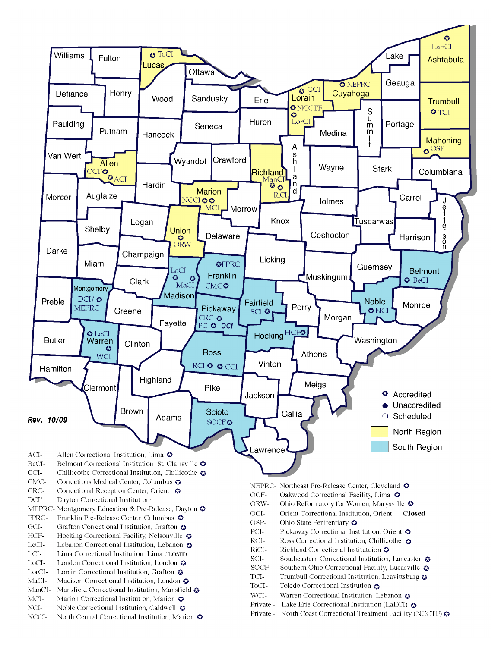